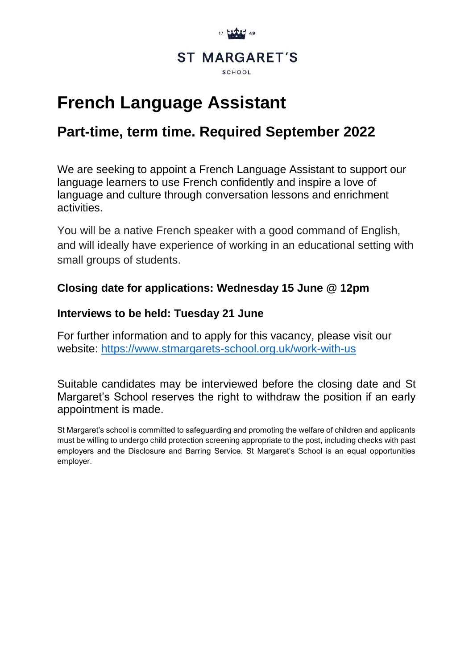

# **French Language Assistant**

## **Part-time, term time. Required September 2022**

We are seeking to appoint a French Language Assistant to support our language learners to use French confidently and inspire a love of language and culture through conversation lessons and enrichment activities.

You will be a native French speaker with a good command of English, and will ideally have experience of working in an educational setting with small groups of students.

### **Closing date for applications: Wednesday 15 June @ 12pm**

#### **Interviews to be held: Tuesday 21 June**

For further information and to apply for this vacancy, please visit our website:<https://www.stmargarets-school.org.uk/work-with-us>

Suitable candidates may be interviewed before the closing date and St Margaret's School reserves the right to withdraw the position if an early appointment is made.

St Margaret's school is committed to safeguarding and promoting the welfare of children and applicants must be willing to undergo child protection screening appropriate to the post, including checks with past employers and the Disclosure and Barring Service. St Margaret's School is an equal opportunities employer.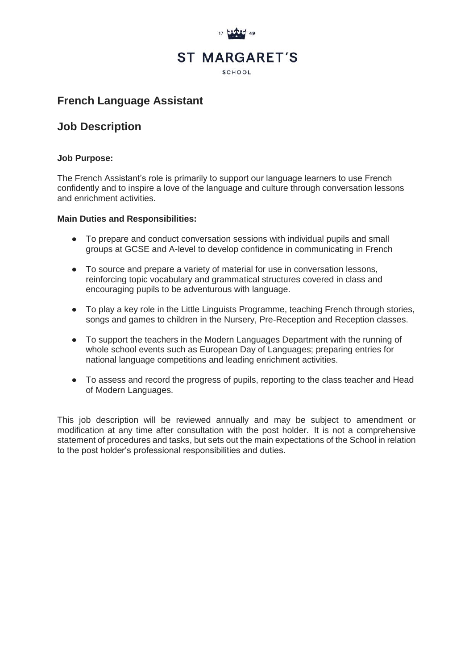

### **French Language Assistant**

#### **Job Description**

#### **Job Purpose:**

The French Assistant's role is primarily to support our language learners to use French confidently and to inspire a love of the language and culture through conversation lessons and enrichment activities.

#### **Main Duties and Responsibilities:**

- To prepare and conduct conversation sessions with individual pupils and small groups at GCSE and A-level to develop confidence in communicating in French
- To source and prepare a variety of material for use in conversation lessons, reinforcing topic vocabulary and grammatical structures covered in class and encouraging pupils to be adventurous with language.
- To play a key role in the Little Linguists Programme, teaching French through stories, songs and games to children in the Nursery, Pre-Reception and Reception classes.
- To support the teachers in the Modern Languages Department with the running of whole school events such as European Day of Languages; preparing entries for national language competitions and leading enrichment activities.
- To assess and record the progress of pupils, reporting to the class teacher and Head of Modern Languages.

This job description will be reviewed annually and may be subject to amendment or modification at any time after consultation with the post holder. It is not a comprehensive statement of procedures and tasks, but sets out the main expectations of the School in relation to the post holder's professional responsibilities and duties.